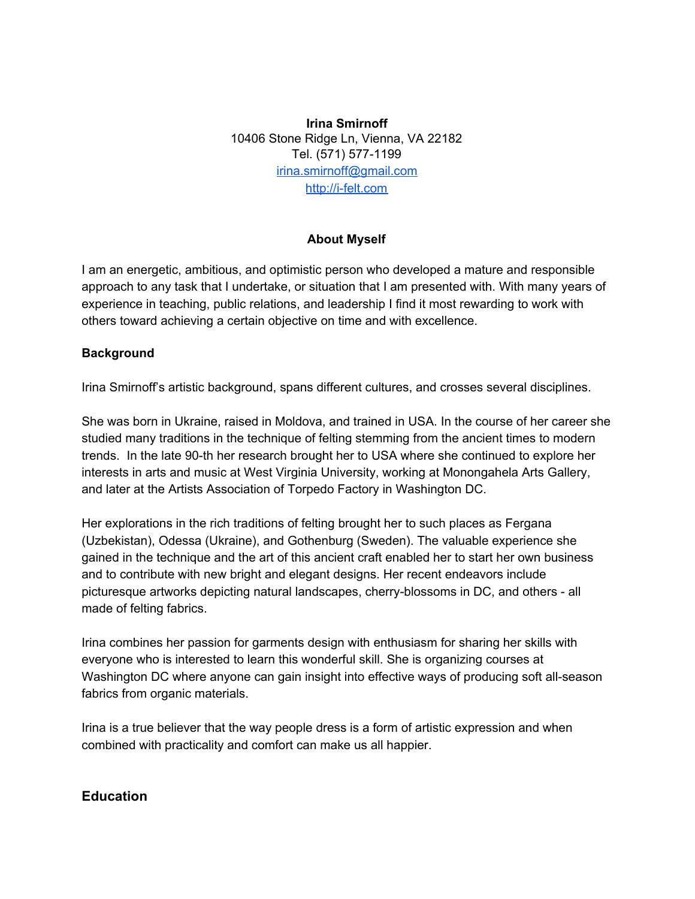**Irina Smirnoff** 10406 Stone Ridge Ln, Vienna, VA 22182 Tel. (571) 577-1199 [irina.smirnoff@gmail.com](mailto:irina.smirnoff@gmail.com) [http://i-felt.com](http://i-felt.com/)

### **About Myself**

I am an energetic, ambitious, and optimistic person who developed a mature and responsible approach to any task that I undertake, or situation that I am presented with. With many years of experience in teaching, public relations, and leadership I find it most rewarding to work with others toward achieving a certain objective on time and with excellence.

#### **Background**

Irina Smirnoff's artistic background, spans different cultures, and crosses several disciplines.

She was born in Ukraine, raised in Moldova, and trained in USA. In the course of her career she studied many traditions in the technique of felting stemming from the ancient times to modern trends. In the late 90-th her research brought her to USA where she continued to explore her interests in arts and music at West Virginia University, working at Monongahela Arts Gallery, and later at the Artists Association of Torpedo Factory in Washington DC.

Her explorations in the rich traditions of felting brought her to such places as Fergana (Uzbekistan), Odessa (Ukraine), and Gothenburg (Sweden). The valuable experience she gained in the technique and the art of this ancient craft enabled her to start her own business and to contribute with new bright and elegant designs. Her recent endeavors include picturesque artworks depicting natural landscapes, cherry-blossoms in DC, and others - all made of felting fabrics.

Irina combines her passion for garments design with enthusiasm for sharing her skills with everyone who is interested to learn this wonderful skill. She is organizing courses at Washington DC where anyone can gain insight into effective ways of producing soft all-season fabrics from organic materials.

Irina is a true believer that the way people dress is a form of artistic expression and when combined with practicality and comfort can make us all happier.

# **Education**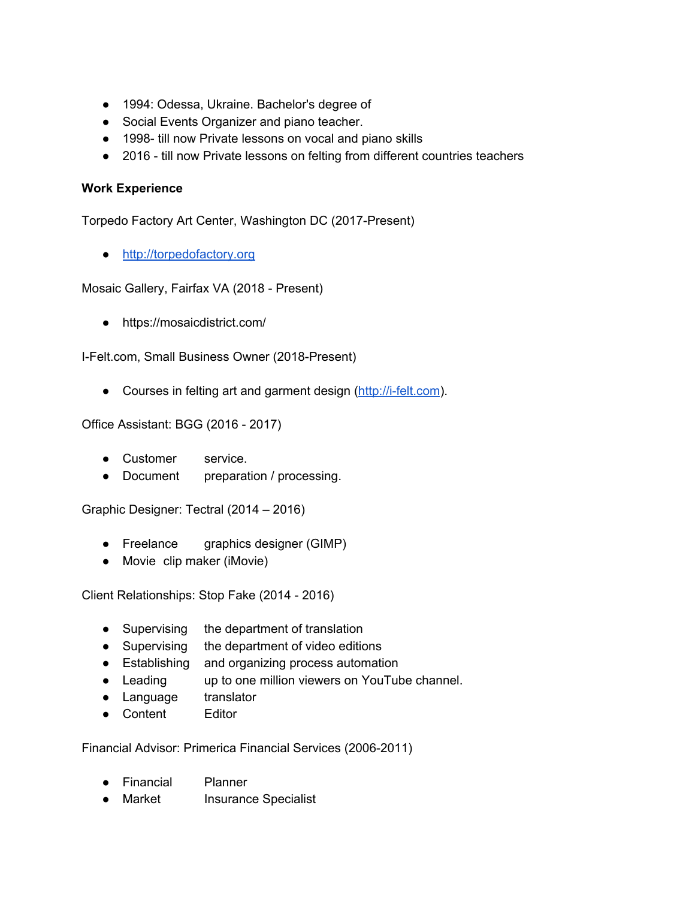- 1994: Odessa, Ukraine. Bachelor's degree of
- Social Events Organizer and piano teacher.
- 1998- till now Private lessons on vocal and piano skills
- 2016 till now Private lessons on felting from different countries teachers

### **Work Experience**

Torpedo Factory Art Center, Washington DC (2017-Present)

● [http://torpedofactory.org](http://torpedofactory.org/)

Mosaic Gallery, Fairfax VA (2018 - Present)

● https://mosaicdistrict.com/

I-Felt.com, Small Business Owner (2018-Present)

• Courses in felting art and garment design ([http://i-felt.com\)](http://i-felt.com/).

Office Assistant: BGG (2016 - 2017)

- Customer service.
- Document preparation / processing.

Graphic Designer: Tectral (2014 – 2016)

- Freelance graphics designer (GIMP)
- Movie clip maker (iMovie)

Client Relationships: Stop Fake (2014 - 2016)

- Supervising the department of translation
- Supervising the department of video editions
- Establishing and organizing process automation
- Leading up to one million viewers on YouTube channel.
- Language translator
- Content Editor

Financial Advisor: Primerica Financial Services (2006-2011)

- Financial Planner
- Market Insurance Specialist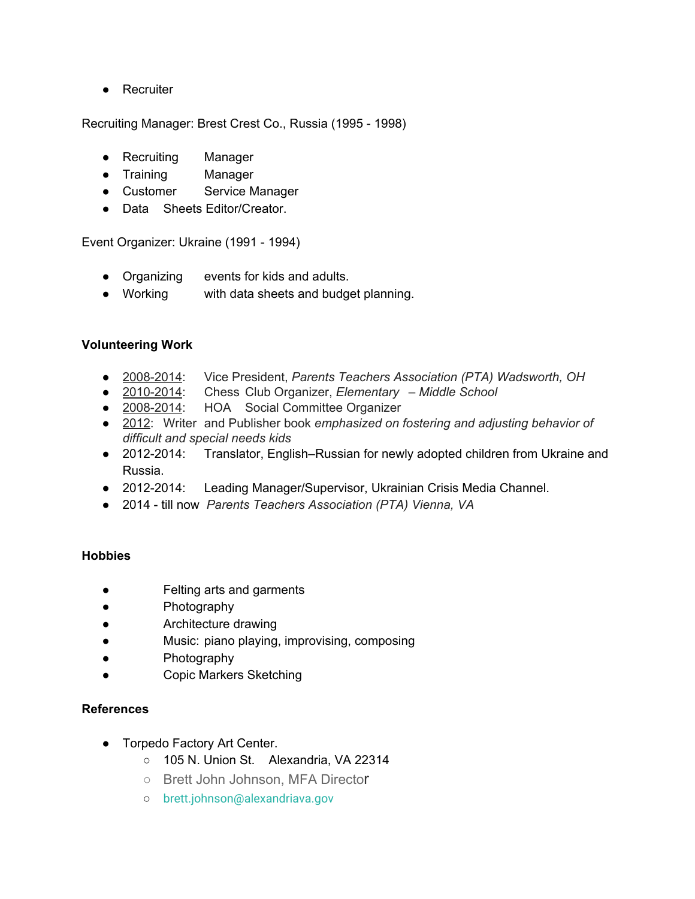● Recruiter

Recruiting Manager: Brest Crest Co., Russia (1995 - 1998)

- Recruiting Manager
- Training Manager
- Customer Service Manager
- Data Sheets Editor/Creator.

Event Organizer: Ukraine (1991 - 1994)

- Organizing events for kids and adults.
- Working with data sheets and budget planning.

### **Volunteering Work**

- 2008-2014: Vice President, *Parents Teachers Association (PTA) Wadsworth, OH*
- 2010-2014: Chess Club Organizer, *Elementary – Middle School*
- 2008-2014: HOA Social Committee Organizer
- 2012: Writer and Publisher book *emphasized on fostering and adjusting behavior of difficult and special needs kids*
- 2012-2014: Translator, English–Russian for newly adopted children from Ukraine and Russia.
- 2012-2014: Leading Manager/Supervisor, Ukrainian Crisis Media Channel.
- 2014 till now *Parents Teachers Association (PTA) Vienna, VA*

## **Hobbies**

- Felting arts and garments
- Photography
- Architecture drawing
- Music: piano playing, improvising, composing
- Photography
- Copic Markers Sketching

## **References**

- Torpedo Factory Art Center.
	- 105 N. Union St. Alexandria, VA 22314
	- Brett John Johnson, MFA Director
	- brett.johnson@alexandriava.gov